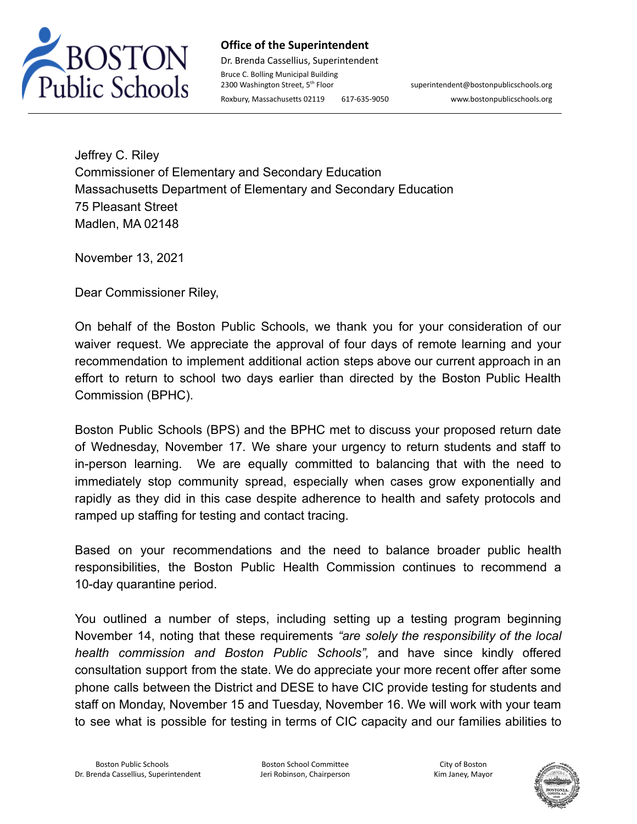

## **Office of the Superintendent**

Dr. Brenda Cassellius, Superintendent Bruce C. Bolling Municipal Building 2300 Washington Street, 5<sup>th</sup> Floor

superintendent@bostonpublicschools.org Roxbury, Massachusetts 02119 617-635-9050 www.bostonpublicschools.org

Jeffrey C. Riley Commissioner of Elementary and Secondary Education Massachusetts Department of Elementary and Secondary Education 75 Pleasant Street Madlen, MA 02148

November 13, 2021

Dear Commissioner Riley,

On behalf of the Boston Public Schools, we thank you for your consideration of our waiver request. We appreciate the approval of four days of remote learning and your recommendation to implement additional action steps above our current approach in an effort to return to school two days earlier than directed by the Boston Public Health Commission (BPHC).

Boston Public Schools (BPS) and the BPHC met to discuss your proposed return date of Wednesday, November 17. We share your urgency to return students and staff to in-person learning. We are equally committed to balancing that with the need to immediately stop community spread, especially when cases grow exponentially and rapidly as they did in this case despite adherence to health and safety protocols and ramped up staffing for testing and contact tracing.

Based on your recommendations and the need to balance broader public health responsibilities, the Boston Public Health Commission continues to recommend a 10-day quarantine period.

You outlined a number of steps, including setting up a testing program beginning November 14, noting that these requirements *"are solely the responsibility of the local health commission and Boston Public Schools",* and have since kindly offered consultation support from the state. We do appreciate your more recent offer after some phone calls between the District and DESE to have CIC provide testing for students and staff on Monday, November 15 and Tuesday, November 16. We will work with your team to see what is possible for testing in terms of CIC capacity and our families abilities to

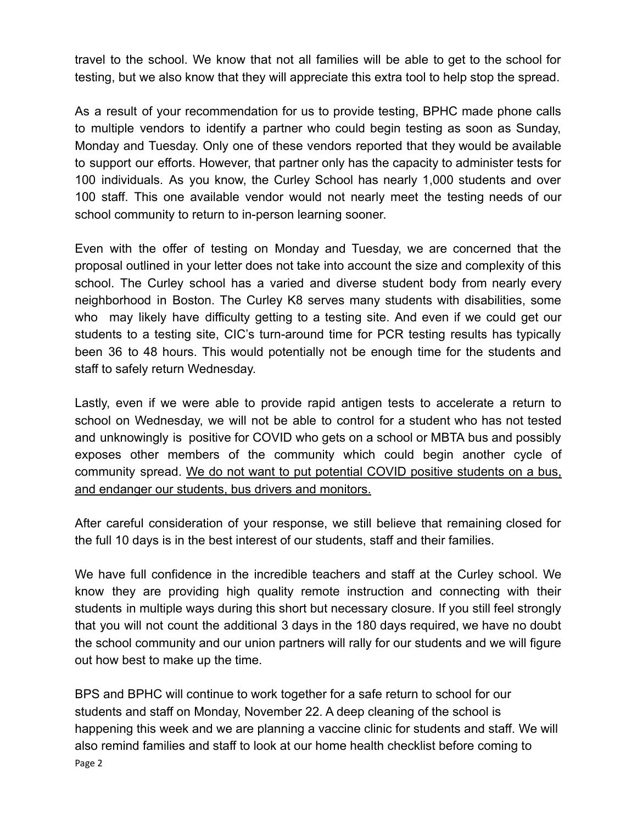travel to the school. We know that not all families will be able to get to the school for testing, but we also know that they will appreciate this extra tool to help stop the spread.

As a result of your recommendation for us to provide testing, BPHC made phone calls to multiple vendors to identify a partner who could begin testing as soon as Sunday, Monday and Tuesday. Only one of these vendors reported that they would be available to support our efforts. However, that partner only has the capacity to administer tests for 100 individuals. As you know, the Curley School has nearly 1,000 students and over 100 staff. This one available vendor would not nearly meet the testing needs of our school community to return to in-person learning sooner.

Even with the offer of testing on Monday and Tuesday, we are concerned that the proposal outlined in your letter does not take into account the size and complexity of this school. The Curley school has a varied and diverse student body from nearly every neighborhood in Boston. The Curley K8 serves many students with disabilities, some who may likely have difficulty getting to a testing site. And even if we could get our students to a testing site, CIC's turn-around time for PCR testing results has typically been 36 to 48 hours. This would potentially not be enough time for the students and staff to safely return Wednesday.

Lastly, even if we were able to provide rapid antigen tests to accelerate a return to school on Wednesday, we will not be able to control for a student who has not tested and unknowingly is positive for COVID who gets on a school or MBTA bus and possibly exposes other members of the community which could begin another cycle of community spread. We do not want to put potential COVID positive students on a bus, and endanger our students, bus drivers and monitors.

After careful consideration of your response, we still believe that remaining closed for the full 10 days is in the best interest of our students, staff and their families.

We have full confidence in the incredible teachers and staff at the Curley school. We know they are providing high quality remote instruction and connecting with their students in multiple ways during this short but necessary closure. If you still feel strongly that you will not count the additional 3 days in the 180 days required, we have no doubt the school community and our union partners will rally for our students and we will figure out how best to make up the time.

BPS and BPHC will continue to work together for a safe return to school for our students and staff on Monday, November 22. A deep cleaning of the school is happening this week and we are planning a vaccine clinic for students and staff. We will also remind families and staff to look at our home health checklist before coming to Page 2